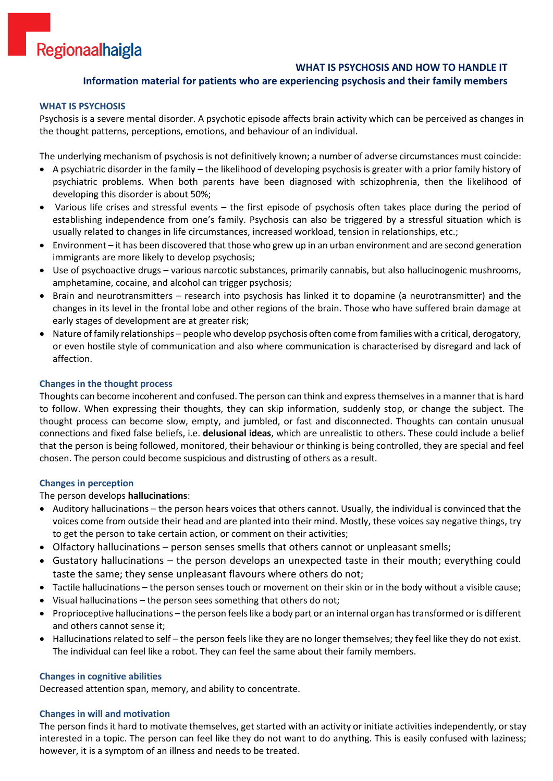# Regionaalhaigla

# **WHAT IS PSYCHOSIS AND HOW TO HANDLE IT**

# **Information material for patients who are experiencing psychosis and their family members**

## **WHAT IS PSYCHOSIS**

Psychosis is a severe mental disorder. A psychotic episode affects brain activity which can be perceived as changes in the thought patterns, perceptions, emotions, and behaviour of an individual.

The underlying mechanism of psychosis is not definitively known; a number of adverse circumstances must coincide:

- A psychiatric disorder in the family the likelihood of developing psychosis is greater with a prior family history of psychiatric problems. When both parents have been diagnosed with schizophrenia, then the likelihood of developing this disorder is about 50%;
- Various life crises and stressful events the first episode of psychosis often takes place during the period of establishing independence from one's family. Psychosis can also be triggered by a stressful situation which is usually related to changes in life circumstances, increased workload, tension in relationships, etc.;
- Environment it has been discovered that those who grew up in an urban environment and are second generation immigrants are more likely to develop psychosis;
- Use of psychoactive drugs various narcotic substances, primarily cannabis, but also hallucinogenic mushrooms, amphetamine, cocaine, and alcohol can trigger psychosis;
- Brain and neurotransmitters research into psychosis has linked it to dopamine (a neurotransmitter) and the changes in its level in the frontal lobe and other regions of the brain. Those who have suffered brain damage at early stages of development are at greater risk;
- Nature of family relationships people who develop psychosis often come from families with a critical, derogatory, or even hostile style of communication and also where communication is characterised by disregard and lack of affection.

## **Changes in the thought process**

Thoughts can become incoherent and confused. The person can think and express themselves in a manner that is hard to follow. When expressing their thoughts, they can skip information, suddenly stop, or change the subject. The thought process can become slow, empty, and jumbled, or fast and disconnected. Thoughts can contain unusual connections and fixed false beliefs, i.e. **delusional ideas**, which are unrealistic to others. These could include a belief that the person is being followed, monitored, their behaviour or thinking is being controlled, they are special and feel chosen. The person could become suspicious and distrusting of others as a result.

#### **Changes in perception**

## The person develops **hallucinations**:

- Auditory hallucinations the person hears voices that others cannot. Usually, the individual is convinced that the voices come from outside their head and are planted into their mind. Mostly, these voices say negative things, try to get the person to take certain action, or comment on their activities;
- Olfactory hallucinations person senses smells that others cannot or unpleasant smells;
- Gustatory hallucinations the person develops an unexpected taste in their mouth; everything could taste the same; they sense unpleasant flavours where others do not;
- Tactile hallucinations the person senses touch or movement on their skin or in the body without a visible cause;
- Visual hallucinations the person sees something that others do not;
- Proprioceptive hallucinations the person feels like a body part or an internal organ has transformed or is different and others cannot sense it;
- Hallucinations related to self the person feels like they are no longer themselves; they feel like they do not exist. The individual can feel like a robot. They can feel the same about their family members.

#### **Changes in cognitive abilities**

Decreased attention span, memory, and ability to concentrate.

#### **Changes in will and motivation**

The person finds it hard to motivate themselves, get started with an activity or initiate activities independently, or stay interested in a topic. The person can feel like they do not want to do anything. This is easily confused with laziness; however, it is a symptom of an illness and needs to be treated.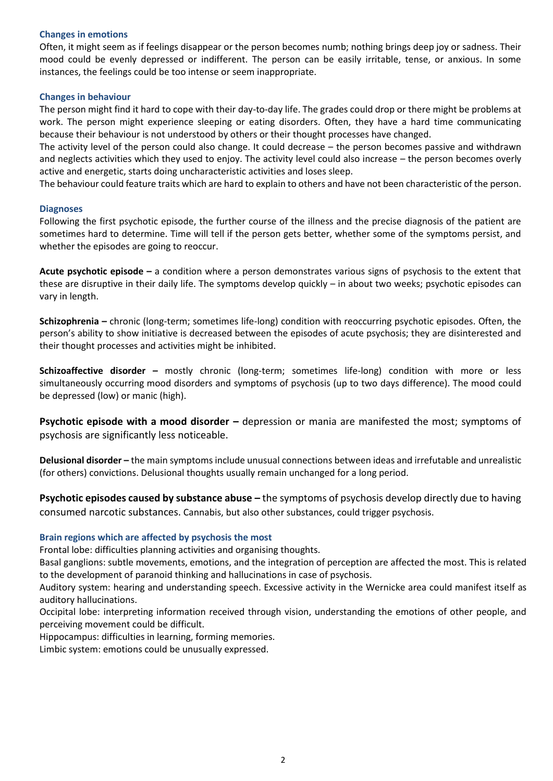## **Changes in emotions**

Often, it might seem as if feelings disappear or the person becomes numb; nothing brings deep joy or sadness. Their mood could be evenly depressed or indifferent. The person can be easily irritable, tense, or anxious. In some instances, the feelings could be too intense or seem inappropriate.

#### **Changes in behaviour**

The person might find it hard to cope with their day-to-day life. The grades could drop or there might be problems at work. The person might experience sleeping or eating disorders. Often, they have a hard time communicating because their behaviour is not understood by others or their thought processes have changed.

The activity level of the person could also change. It could decrease – the person becomes passive and withdrawn and neglects activities which they used to enjoy. The activity level could also increase – the person becomes overly active and energetic, starts doing uncharacteristic activities and loses sleep.

The behaviour could feature traits which are hard to explain to others and have not been characteristic of the person.

#### **Diagnoses**

Following the first psychotic episode, the further course of the illness and the precise diagnosis of the patient are sometimes hard to determine. Time will tell if the person gets better, whether some of the symptoms persist, and whether the episodes are going to reoccur.

**Acute psychotic episode –** a condition where a person demonstrates various signs of psychosis to the extent that these are disruptive in their daily life. The symptoms develop quickly – in about two weeks; psychotic episodes can vary in length.

**Schizophrenia –** chronic (long-term; sometimes life-long) condition with reoccurring psychotic episodes. Often, the person's ability to show initiative is decreased between the episodes of acute psychosis; they are disinterested and their thought processes and activities might be inhibited.

**Schizoaffective disorder –** mostly chronic (long-term; sometimes life-long) condition with more or less simultaneously occurring mood disorders and symptoms of psychosis (up to two days difference). The mood could be depressed (low) or manic (high).

**Psychotic episode with a mood disorder –** depression or mania are manifested the most; symptoms of psychosis are significantly less noticeable.

**Delusional disorder –** the main symptoms include unusual connections between ideas and irrefutable and unrealistic (for others) convictions. Delusional thoughts usually remain unchanged for a long period.

**Psychotic episodes caused by substance abuse –** the symptoms of psychosis develop directly due to having consumed narcotic substances. Cannabis, but also other substances, could trigger psychosis.

## **Brain regions which are affected by psychosis the most**

Frontal lobe: difficulties planning activities and organising thoughts.

Basal ganglions: subtle movements, emotions, and the integration of perception are affected the most. This is related to the development of paranoid thinking and hallucinations in case of psychosis.

Auditory system: hearing and understanding speech. Excessive activity in the Wernicke area could manifest itself as auditory hallucinations.

Occipital lobe: interpreting information received through vision, understanding the emotions of other people, and perceiving movement could be difficult.

Hippocampus: difficulties in learning, forming memories.

Limbic system: emotions could be unusually expressed.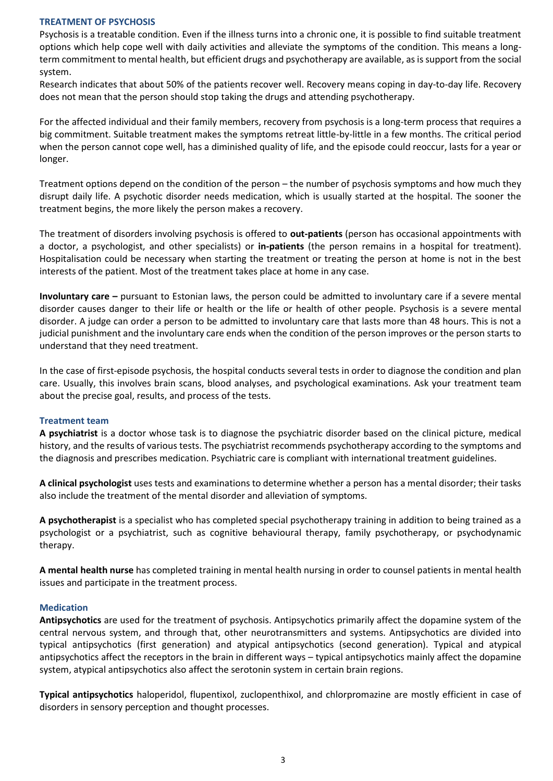#### **TREATMENT OF PSYCHOSIS**

Psychosis is a treatable condition. Even if the illness turns into a chronic one, it is possible to find suitable treatment options which help cope well with daily activities and alleviate the symptoms of the condition. This means a longterm commitment to mental health, but efficient drugs and psychotherapy are available, as is support from the social system.

Research indicates that about 50% of the patients recover well. Recovery means coping in day-to-day life. Recovery does not mean that the person should stop taking the drugs and attending psychotherapy.

For the affected individual and their family members, recovery from psychosis is a long-term process that requires a big commitment. Suitable treatment makes the symptoms retreat little-by-little in a few months. The critical period when the person cannot cope well, has a diminished quality of life, and the episode could reoccur, lasts for a year or longer.

Treatment options depend on the condition of the person – the number of psychosis symptoms and how much they disrupt daily life. A psychotic disorder needs medication, which is usually started at the hospital. The sooner the treatment begins, the more likely the person makes a recovery.

The treatment of disorders involving psychosis is offered to **out-patients** (person has occasional appointments with a doctor, a psychologist, and other specialists) or **in-patients** (the person remains in a hospital for treatment). Hospitalisation could be necessary when starting the treatment or treating the person at home is not in the best interests of the patient. Most of the treatment takes place at home in any case.

**Involuntary care –** pursuant to Estonian laws, the person could be admitted to involuntary care if a severe mental disorder causes danger to their life or health or the life or health of other people. Psychosis is a severe mental disorder. A judge can order a person to be admitted to involuntary care that lasts more than 48 hours. This is not a judicial punishment and the involuntary care ends when the condition of the person improves or the person starts to understand that they need treatment.

In the case of first-episode psychosis, the hospital conducts several tests in order to diagnose the condition and plan care. Usually, this involves brain scans, blood analyses, and psychological examinations. Ask your treatment team about the precise goal, results, and process of the tests.

## **Treatment team**

**A psychiatrist** is a doctor whose task is to diagnose the psychiatric disorder based on the clinical picture, medical history, and the results of various tests. The psychiatrist recommends psychotherapy according to the symptoms and the diagnosis and prescribes medication. Psychiatric care is compliant with international treatment guidelines.

**A clinical psychologist** uses tests and examinations to determine whether a person has a mental disorder; their tasks also include the treatment of the mental disorder and alleviation of symptoms.

**A psychotherapist** is a specialist who has completed special psychotherapy training in addition to being trained as a psychologist or a psychiatrist, such as cognitive behavioural therapy, family psychotherapy, or psychodynamic therapy.

**A mental health nurse** has completed training in mental health nursing in order to counsel patients in mental health issues and participate in the treatment process.

## **Medication**

**Antipsychotics** are used for the treatment of psychosis. Antipsychotics primarily affect the dopamine system of the central nervous system, and through that, other neurotransmitters and systems. Antipsychotics are divided into typical antipsychotics (first generation) and atypical antipsychotics (second generation). Typical and atypical antipsychotics affect the receptors in the brain in different ways – typical antipsychotics mainly affect the dopamine system, atypical antipsychotics also affect the serotonin system in certain brain regions.

**Typical antipsychotics** haloperidol, flupentixol, zuclopenthixol, and chlorpromazine are mostly efficient in case of disorders in sensory perception and thought processes.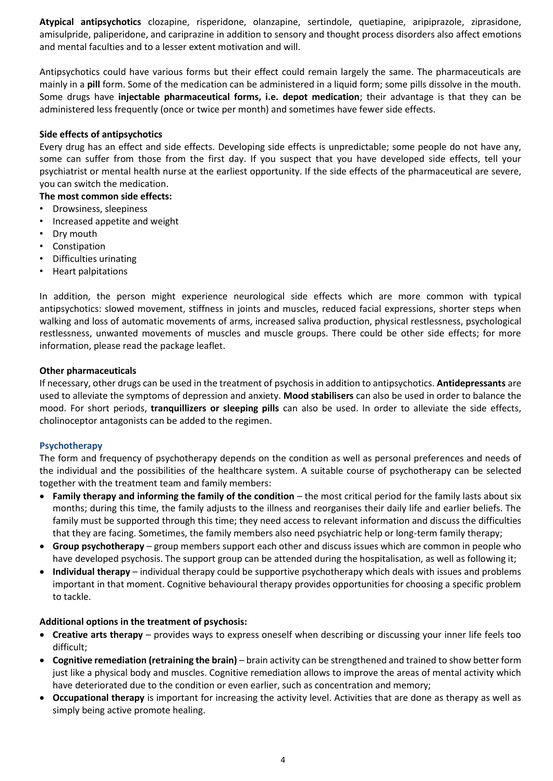**Atypical antipsychotics** clozapine, risperidone, olanzapine, sertindole, quetiapine, aripiprazole, ziprasidone, amisulpride, paliperidone, and cariprazine in addition to sensory and thought process disorders also affect emotions and mental faculties and to a lesser extent motivation and will.

Antipsychotics could have various forms but their effect could remain largely the same. The pharmaceuticals are mainly in a **pill** form. Some of the medication can be administered in a liquid form; some pills dissolve in the mouth. Some drugs have **injectable pharmaceutical forms, i.e. depot medication**; their advantage is that they can be administered less frequently (once or twice per month) and sometimes have fewer side effects.

# **Side effects of antipsychotics**

Every drug has an effect and side effects. Developing side effects is unpredictable; some people do not have any, some can suffer from those from the first day. If you suspect that you have developed side effects, tell your psychiatrist or mental health nurse at the earliest opportunity. If the side effects of the pharmaceutical are severe, you can switch the medication.

- **The most common side effects:**
- Drowsiness, sleepiness
- Increased appetite and weight
- Dry mouth
- Constipation
- Difficulties urinating
- Heart palpitations

In addition, the person might experience neurological side effects which are more common with typical antipsychotics: slowed movement, stiffness in joints and muscles, reduced facial expressions, shorter steps when walking and loss of automatic movements of arms, increased saliva production, physical restlessness, psychological restlessness, unwanted movements of muscles and muscle groups. There could be other side effects; for more information, please read the package leaflet.

## **Other pharmaceuticals**

If necessary, other drugs can be used in the treatment of psychosis in addition to antipsychotics. **Antidepressants** are used to alleviate the symptoms of depression and anxiety. **Mood stabilisers** can also be used in order to balance the mood. For short periods, **tranquillizers or sleeping pills** can also be used. In order to alleviate the side effects, cholinoceptor antagonists can be added to the regimen.

## **Psychotherapy**

The form and frequency of psychotherapy depends on the condition as well as personal preferences and needs of the individual and the possibilities of the healthcare system. A suitable course of psychotherapy can be selected together with the treatment team and family members:

- **Family therapy and informing the family of the condition** the most critical period for the family lasts about six months; during this time, the family adjusts to the illness and reorganises their daily life and earlier beliefs. The family must be supported through this time; they need access to relevant information and discuss the difficulties that they are facing. Sometimes, the family members also need psychiatric help or long-term family therapy;
- **Group psychotherapy**  group members support each other and discuss issues which are common in people who have developed psychosis. The support group can be attended during the hospitalisation, as well as following it;
- **Individual therapy** individual therapy could be supportive psychotherapy which deals with issues and problems important in that moment. Cognitive behavioural therapy provides opportunities for choosing a specific problem to tackle.

## **Additional options in the treatment of psychosis:**

- **Creative arts therapy** provides ways to express oneself when describing or discussing your inner life feels too difficult;
- **Cognitive remediation (retraining the brain)** brain activity can be strengthened and trained to show better form just like a physical body and muscles. Cognitive remediation allows to improve the areas of mental activity which have deteriorated due to the condition or even earlier, such as concentration and memory;
- **Occupational therapy** is important for increasing the activity level. Activities that are done as therapy as well as simply being active promote healing.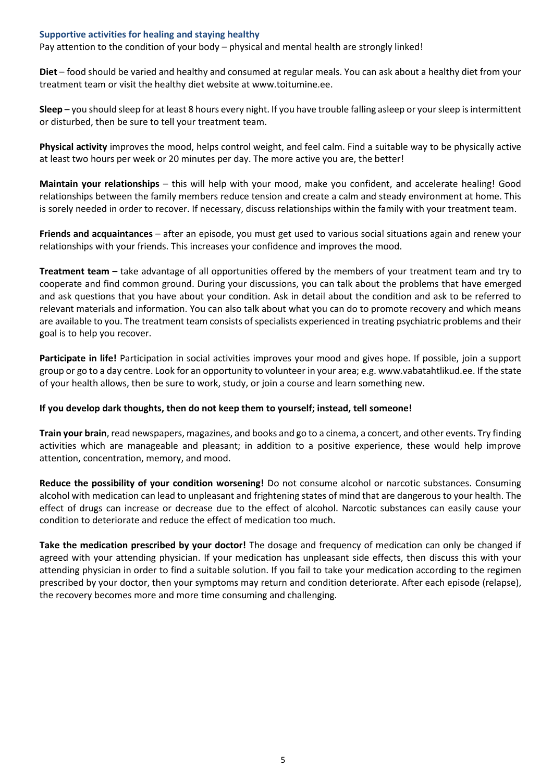## **Supportive activities for healing and staying healthy**

Pay attention to the condition of your body – physical and mental health are strongly linked!

**Diet** – food should be varied and healthy and consumed at regular meals. You can ask about a healthy diet from your treatment team or visit the healthy diet website a[t www.toitumine.ee.](http://www.toitumine.ee/)

**Sleep** – you should sleep for at least 8 hours every night. If you have trouble falling asleep or your sleep is intermittent or disturbed, then be sure to tell your treatment team.

**Physical activity** improves the mood, helps control weight, and feel calm. Find a suitable way to be physically active at least two hours per week or 20 minutes per day. The more active you are, the better!

**Maintain your relationships** – this will help with your mood, make you confident, and accelerate healing! Good relationships between the family members reduce tension and create a calm and steady environment at home. This is sorely needed in order to recover. If necessary, discuss relationships within the family with your treatment team.

**Friends and acquaintances** – after an episode, you must get used to various social situations again and renew your relationships with your friends. This increases your confidence and improves the mood.

**Treatment team** – take advantage of all opportunities offered by the members of your treatment team and try to cooperate and find common ground. During your discussions, you can talk about the problems that have emerged and ask questions that you have about your condition. Ask in detail about the condition and ask to be referred to relevant materials and information. You can also talk about what you can do to promote recovery and which means are available to you. The treatment team consists of specialists experienced in treating psychiatric problems and their goal is to help you recover.

**Participate in life!** Participation in social activities improves your mood and gives hope. If possible, join a support group or go to a day centre. Look for an opportunity to volunteer in your area; e.g[. www.vabatahtlikud.ee.](http://www.vabatahtlikud.ee/) If the state of your health allows, then be sure to work, study, or join a course and learn something new.

## **If you develop dark thoughts, then do not keep them to yourself; instead, tell someone!**

**Train your brain**, read newspapers, magazines, and books and go to a cinema, a concert, and other events. Try finding activities which are manageable and pleasant; in addition to a positive experience, these would help improve attention, concentration, memory, and mood.

**Reduce the possibility of your condition worsening!** Do not consume alcohol or narcotic substances. Consuming alcohol with medication can lead to unpleasant and frightening states of mind that are dangerous to your health. The effect of drugs can increase or decrease due to the effect of alcohol. Narcotic substances can easily cause your condition to deteriorate and reduce the effect of medication too much.

**Take the medication prescribed by your doctor!** The dosage and frequency of medication can only be changed if agreed with your attending physician. If your medication has unpleasant side effects, then discuss this with your attending physician in order to find a suitable solution. If you fail to take your medication according to the regimen prescribed by your doctor, then your symptoms may return and condition deteriorate. After each episode (relapse), the recovery becomes more and more time consuming and challenging.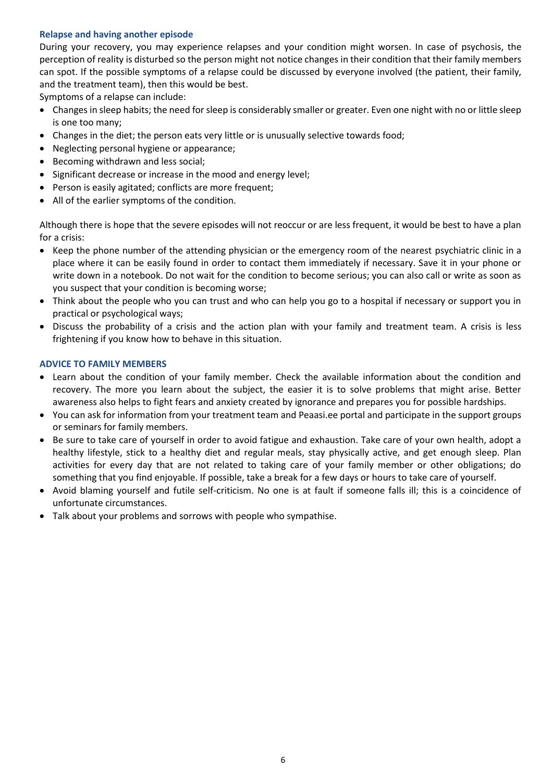# **Relapse and having another episode**

During your recovery, you may experience relapses and your condition might worsen. In case of psychosis, the perception of reality is disturbed so the person might not notice changes in their condition that their family members can spot. If the possible symptoms of a relapse could be discussed by everyone involved (the patient, their family, and the treatment team), then this would be best.

Symptoms of a relapse can include:

- Changes in sleep habits; the need for sleep is considerably smaller or greater. Even one night with no or little sleep is one too many;
- Changes in the diet; the person eats very little or is unusually selective towards food;
- Neglecting personal hygiene or appearance;
- Becoming withdrawn and less social;
- Significant decrease or increase in the mood and energy level;
- Person is easily agitated; conflicts are more frequent;
- All of the earlier symptoms of the condition.

Although there is hope that the severe episodes will not reoccur or are less frequent, it would be best to have a plan for a crisis:

- Keep the phone number of the attending physician or the emergency room of the nearest psychiatric clinic in a place where it can be easily found in order to contact them immediately if necessary. Save it in your phone or write down in a notebook. Do not wait for the condition to become serious; you can also call or write as soon as you suspect that your condition is becoming worse;
- Think about the people who you can trust and who can help you go to a hospital if necessary or support you in practical or psychological ways;
- Discuss the probability of a crisis and the action plan with your family and treatment team. A crisis is less frightening if you know how to behave in this situation.

## **ADVICE TO FAMILY MEMBERS**

- Learn about the condition of your family member. Check the available information about the condition and recovery. The more you learn about the subject, the easier it is to solve problems that might arise. Better awareness also helps to fight fears and anxiety created by ignorance and prepares you for possible hardships.
- You can ask for information from your treatment team and Peaasi.ee portal and participate in the support groups or seminars for family members.
- Be sure to take care of yourself in order to avoid fatigue and exhaustion. Take care of your own health, adopt a healthy lifestyle, stick to a healthy diet and regular meals, stay physically active, and get enough sleep. Plan activities for every day that are not related to taking care of your family member or other obligations; do something that you find enjoyable. If possible, take a break for a few days or hours to take care of yourself.
- Avoid blaming yourself and futile self-criticism. No one is at fault if someone falls ill; this is a coincidence of unfortunate circumstances.
- Talk about your problems and sorrows with people who sympathise.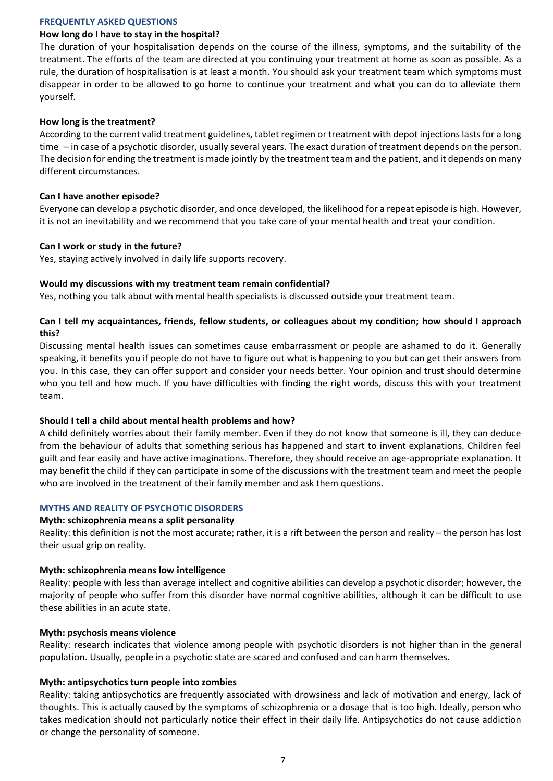#### **FREQUENTLY ASKED QUESTIONS**

#### **How long do I have to stay in the hospital?**

The duration of your hospitalisation depends on the course of the illness, symptoms, and the suitability of the treatment. The efforts of the team are directed at you continuing your treatment at home as soon as possible. As a rule, the duration of hospitalisation is at least a month. You should ask your treatment team which symptoms must disappear in order to be allowed to go home to continue your treatment and what you can do to alleviate them yourself.

#### **How long is the treatment?**

According to the current valid treatment guidelines, tablet regimen or treatment with depot injections lasts for a long time – in case of a psychotic disorder, usually several years. The exact duration of treatment depends on the person. The decision for ending the treatment is made jointly by the treatment team and the patient, and it depends on many different circumstances.

#### **Can I have another episode?**

Everyone can develop a psychotic disorder, and once developed, the likelihood for a repeat episode is high. However, it is not an inevitability and we recommend that you take care of your mental health and treat your condition.

#### **Can I work or study in the future?**

Yes, staying actively involved in daily life supports recovery.

## **Would my discussions with my treatment team remain confidential?**

Yes, nothing you talk about with mental health specialists is discussed outside your treatment team.

# **Can I tell my acquaintances, friends, fellow students, or colleagues about my condition; how should I approach this?**

Discussing mental health issues can sometimes cause embarrassment or people are ashamed to do it. Generally speaking, it benefits you if people do not have to figure out what is happening to you but can get their answers from you. In this case, they can offer support and consider your needs better. Your opinion and trust should determine who you tell and how much. If you have difficulties with finding the right words, discuss this with your treatment team.

## **Should I tell a child about mental health problems and how?**

A child definitely worries about their family member. Even if they do not know that someone is ill, they can deduce from the behaviour of adults that something serious has happened and start to invent explanations. Children feel guilt and fear easily and have active imaginations. Therefore, they should receive an age-appropriate explanation. It may benefit the child if they can participate in some of the discussions with the treatment team and meet the people who are involved in the treatment of their family member and ask them questions.

## **MYTHS AND REALITY OF PSYCHOTIC DISORDERS**

#### **Myth: schizophrenia means a split personality**

Reality: this definition is not the most accurate; rather, it is a rift between the person and reality – the person has lost their usual grip on reality.

## **Myth: schizophrenia means low intelligence**

Reality: people with less than average intellect and cognitive abilities can develop a psychotic disorder; however, the majority of people who suffer from this disorder have normal cognitive abilities, although it can be difficult to use these abilities in an acute state.

#### **Myth: psychosis means violence**

Reality: research indicates that violence among people with psychotic disorders is not higher than in the general population. Usually, people in a psychotic state are scared and confused and can harm themselves.

## **Myth: antipsychotics turn people into zombies**

Reality: taking antipsychotics are frequently associated with drowsiness and lack of motivation and energy, lack of thoughts. This is actually caused by the symptoms of schizophrenia or a dosage that is too high. Ideally, person who takes medication should not particularly notice their effect in their daily life. Antipsychotics do not cause addiction or change the personality of someone.